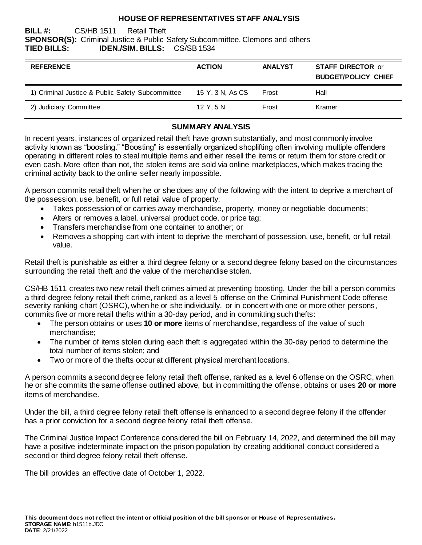#### **HOUSE OF REPRESENTATIVES STAFF ANALYSIS**

#### **BILL #:** CS/HB 1511 Retail Theft **SPONSOR(S):** Criminal Justice & Public Safety Subcommittee, Clemons and others **TIED BILLS: IDEN./SIM. BILLS:** CS/SB 1534

| <b>REFERENCE</b>                                 | <b>ACTION</b>    | <b>ANALYST</b> | <b>STAFF DIRECTOR or</b><br><b>BUDGET/POLICY CHIEF</b> |
|--------------------------------------------------|------------------|----------------|--------------------------------------------------------|
| 1) Criminal Justice & Public Safety Subcommittee | 15 Y, 3 N, As CS | Frost          | Hall                                                   |
| 2) Judiciary Committee                           | 12 Y.5 N         | Frost          | Kramer                                                 |

#### **SUMMARY ANALYSIS**

In recent years, instances of organized retail theft have grown substantially, and most commonly involve activity known as "boosting." "Boosting" is essentially organized shoplifting often involving multiple offenders operating in different roles to steal multiple items and either resell the items or return them for store credit or even cash. More often than not, the stolen items are sold via online marketplaces, which makes tracing the criminal activity back to the online seller nearly impossible.

A person commits retail theft when he or she does any of the following with the intent to deprive a merchant of the possession, use, benefit, or full retail value of property:

- Takes possession of or carries away merchandise, property, money or negotiable documents;
- Alters or removes a label, universal product code, or price tag;
- Transfers merchandise from one container to another; or
- Removes a shopping cart with intent to deprive the merchant of possession, use, benefit, or full retail value.

Retail theft is punishable as either a third degree felony or a second degree felony based on the circumstances surrounding the retail theft and the value of the merchandise stolen.

CS/HB 1511 creates two new retail theft crimes aimed at preventing boosting. Under the bill a person commits a third degree felony retail theft crime, ranked as a level 5 offense on the Criminal Punishment Code offense severity ranking chart (OSRC), when he or she individually, or in concert with one or more other persons, commits five or more retail thefts within a 30-day period, and in committing such thefts:

- The person obtains or uses **10 or more** items of merchandise, regardless of the value of such merchandise;
- The number of items stolen during each theft is aggregated within the 30-day period to determine the total number of items stolen; and
- Two or more of the thefts occur at different physical merchant locations.

A person commits a second degree felony retail theft offense, ranked as a level 6 offense on the OSRC, when he or she commits the same offense outlined above, but in committing the offense, obtains or uses **20 or more** items of merchandise.

Under the bill, a third degree felony retail theft offense is enhanced to a second degree felony if the offender has a prior conviction for a second degree felony retail theft offense.

The Criminal Justice Impact Conference considered the bill on February 14, 2022, and determined the bill may have a positive indeterminate impact on the prison population by creating additional conduct considered a second or third degree felony retail theft offense.

The bill provides an effective date of October 1, 2022.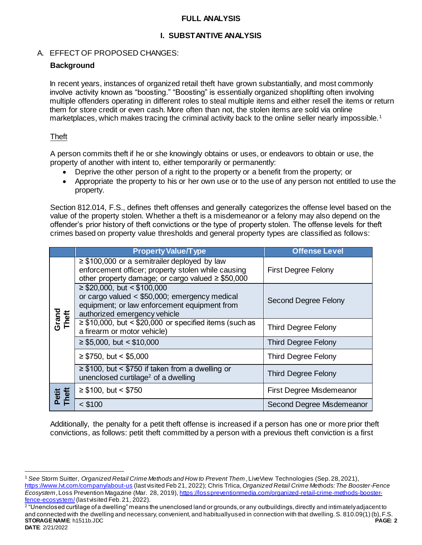#### **FULL ANALYSIS**

# **I. SUBSTANTIVE ANALYSIS**

# A. EFFECT OF PROPOSED CHANGES:

## **Background**

In recent years, instances of organized retail theft have grown substantially, and most commonly involve activity known as "boosting." "Boosting" is essentially organized shoplifting often involving multiple offenders operating in different roles to steal multiple items and either resell the items or return them for store credit or even cash. More often than not, the stolen items are sold via online marketplaces, which makes tracing the criminal activity back to the online seller nearly impossible.<sup>1</sup>

## Theft

l

A person commits theft if he or she knowingly obtains or uses, or endeavors to obtain or use, the property of another with intent to, either temporarily or permanently:

- Deprive the other person of a right to the property or a benefit from the property; or
- Appropriate the property to his or her own use or to the use of any person not entitled to use the property.

Section 812.014, F.S., defines theft offenses and generally categorizes the offense level based on the value of the property stolen. Whether a theft is a misdemeanor or a felony may also depend on the offender's prior history of theft convictions or the type of property stolen. The offense levels for theft crimes based on property value thresholds and general property types are classified as follows:

|                                                                                                                                                                                                                                       | <b>Property Value/Type</b>                                                                                                                                        | <b>Offense Level</b>        |
|---------------------------------------------------------------------------------------------------------------------------------------------------------------------------------------------------------------------------------------|-------------------------------------------------------------------------------------------------------------------------------------------------------------------|-----------------------------|
|                                                                                                                                                                                                                                       | $\geq$ \$100,000 or a semitrailer deployed by law<br>enforcement officer; property stolen while causing<br>other property damage; or cargo valued $\geq$ \$50,000 | <b>First Degree Felony</b>  |
| $\geq$ \$20,000, but < \$100,000<br>Grand<br>Theft<br>authorized emergency vehicle<br>a firearm or motor vehicle)<br>$\geq$ \$5,000, but < \$10,000<br>$\geq$ \$750, but < \$5,000<br>unenclosed curtilage <sup>2</sup> of a dwelling | or cargo valued $<$ \$50,000; emergency medical<br>equipment; or law enforcement equipment from                                                                   | <b>Second Degree Felony</b> |
|                                                                                                                                                                                                                                       | $\geq$ \$10,000, but < \$20,000 or specified items (such as                                                                                                       | <b>Third Degree Felony</b>  |
|                                                                                                                                                                                                                                       |                                                                                                                                                                   | <b>Third Degree Felony</b>  |
|                                                                                                                                                                                                                                       |                                                                                                                                                                   | <b>Third Degree Felony</b>  |
|                                                                                                                                                                                                                                       | $\geq$ \$100, but < \$750 if taken from a dwelling or                                                                                                             | <b>Third Degree Felony</b>  |
| Petit<br>Theft                                                                                                                                                                                                                        | $\geq$ \$100, but < \$750                                                                                                                                         | First Degree Misdemeanor    |
|                                                                                                                                                                                                                                       | $<$ \$100                                                                                                                                                         | Second Degree Misdemeanor   |

Additionally, the penalty for a petit theft offense is increased if a person has one or more prior theft convictions, as follows: petit theft committed by a person with a previous theft conviction is a first

<sup>1</sup> *See* Storm Suitter, *Organized Retail Crime Methods and How to Prevent Them* , LiveView Technologies (Sep. 28, 2021), <https://www.lvt.com/company/about-us> (last visited Feb 21, 2022); Chris Trlica, *Organized Retail Crime Methods: The Booster-Fence Ecosystem*, Loss Prevention Magazine (Mar. 28, 2019)[, https://losspreventionmedia.com/organized-retail-crime-methods-booster](https://losspreventionmedia.com/organized-retail-crime-methods-booster-fence-ecosystem/)[fence-ecosystem/](https://losspreventionmedia.com/organized-retail-crime-methods-booster-fence-ecosystem/)(last visited Feb. 21, 2022).

**STORAGE NAME**: h1511b.JDC **PAGE: 2 DATE**: 2/21/2022 2 "Unenclosed curtilage of a dwelling" means the unenclosed land or grounds, or any outbuildings, directly and intimately adjacent to and connected with the dwelling and necessary, convenient, and habitually used in connection with that dwelling. S. 810.09(1)(b), F.S.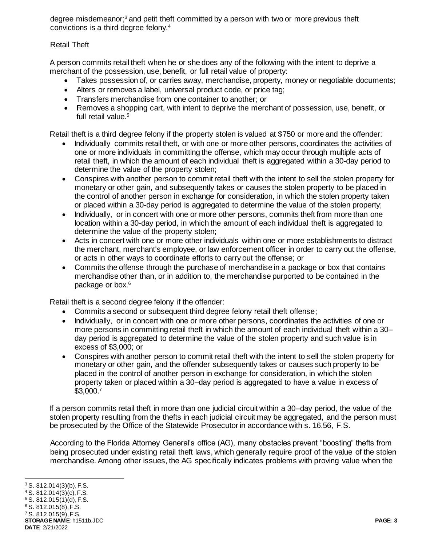degree misdemeanor; <sup>3</sup> and petit theft committed by a person with two or more previous theft convictions is a third degree felony.<sup>4</sup>

# Retail Theft

A person commits retail theft when he or she does any of the following with the intent to deprive a merchant of the possession, use, benefit, or full retail value of property:

- Takes possession of, or carries away, merchandise, property, money or negotiable documents;
- Alters or removes a label, universal product code, or price tag;
- Transfers merchandise from one container to another; or
- Removes a shopping cart, with intent to deprive the merchant of possession, use, benefit, or full retail value.<sup>5</sup>

Retail theft is a third degree felony if the property stolen is valued at \$750 or more and the offender:

- Individually commits retail theft, or with one or more other persons, coordinates the activities of one or more individuals in committing the offense, which may occur through multiple acts of retail theft, in which the amount of each individual theft is aggregated within a 30-day period to determine the value of the property stolen;
- Conspires with another person to commit retail theft with the intent to sell the stolen property for monetary or other gain, and subsequently takes or causes the stolen property to be placed in the control of another person in exchange for consideration, in which the stolen property taken or placed within a 30-day period is aggregated to determine the value of the stolen property;
- Individually, or in concert with one or more other persons, commits theft from more than one location within a 30-day period, in which the amount of each individual theft is aggregated to determine the value of the property stolen;
- Acts in concert with one or more other individuals within one or more establishments to distract the merchant, merchant's employee, or law enforcement officer in order to carry out the offense, or acts in other ways to coordinate efforts to carry out the offense; or
- Commits the offense through the purchase of merchandise in a package or box that contains merchandise other than, or in addition to, the merchandise purported to be contained in the package or box.<sup>6</sup>

Retail theft is a second degree felony if the offender:

- Commits a second or subsequent third degree felony retail theft offense;
- Individually, or in concert with one or more other persons, coordinates the activities of one or more persons in committing retail theft in which the amount of each individual theft within a 30– day period is aggregated to determine the value of the stolen property and such value is in excess of \$3,000; or
- Conspires with another person to commit retail theft with the intent to sell the stolen property for monetary or other gain, and the offender subsequently takes or causes such property to be placed in the control of another person in exchange for consideration, in which the stolen property taken or placed within a 30–day period is aggregated to have a value in excess of \$3,000.<sup>7</sup>

If a person commits retail theft in more than one judicial circuit within a 30–day period, the value of the stolen property resulting from the thefts in each judicial circuit may be aggregated, and the person must be prosecuted by the Office of the Statewide Prosecutor in accordance with s. 16.56, F.S.

According to the Florida Attorney General's office (AG), many obstacles prevent "boosting" thefts from being prosecuted under existing retail theft laws, which generally require proof of the value of the stolen merchandise. Among other issues, the AG specifically indicates problems with proving value when the

**STORAGE NAME**: h1511b.JDC **PAGE: 3 DATE**: 2/21/2022

l  $3$  S. 812.014(3)(b), F.S.  $4$  S. 812.014(3)(c), F.S. <sup>5</sup> S. 812.015(1)(d), F.S. <sup>6</sup> S. 812.015(8), F.S. <sup>7</sup> S. 812.015(9), F.S.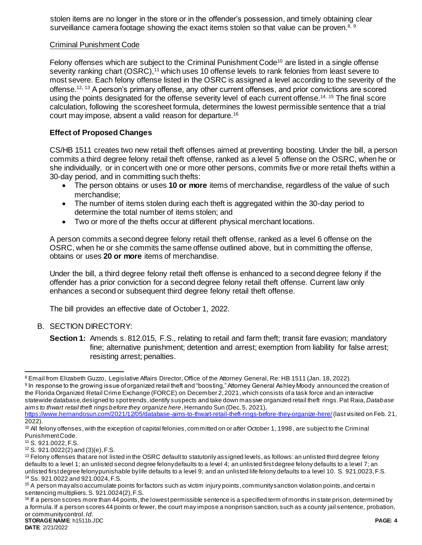stolen items are no longer in the store or in the offender's possession, and timely obtaining clear surveillance camera footage showing the exact items stolen so that value can be proven.<sup>8, 9</sup>

## Criminal Punishment Code

Felony offenses which are subject to the Criminal Punishment Code<sup>10</sup> are listed in a single offense severity ranking chart (OSRC),<sup>11</sup> which uses 10 offense levels to rank felonies from least severe to most severe. Each felony offense listed in the OSRC is assigned a level according to the severity of the offense.<sup>12</sup>, <sup>13</sup> A person's primary offense, any other current offenses, and prior convictions are scored using the points designated for the offense severity level of each current offense.<sup>14, 15</sup> The final score calculation, following the scoresheet formula, determines the lowest permissible sentence that a trial court may impose, absent a valid reason for departure.<sup>16</sup>

# **Effect of Proposed Changes**

CS/HB 1511 creates two new retail theft offenses aimed at preventing boosting. Under the bill, a person commits a third degree felony retail theft offense, ranked as a level 5 offense on the OSRC, when he or she individually, or in concert with one or more other persons, commits five or more retail thefts within a 30-day period, and in committing such thefts:

- The person obtains or uses **10 or more** items of merchandise, regardless of the value of such merchandise;
- The number of items stolen during each theft is aggregated within the 30-day period to determine the total number of items stolen; and
- Two or more of the thefts occur at different physical merchant locations.

A person commits a second degree felony retail theft offense, ranked as a level 6 offense on the OSRC, when he or she commits the same offense outlined above, but in committing the offense, obtains or uses **20 or more** items of merchandise.

Under the bill, a third degree felony retail theft offense is enhanced to a second degree felony if the offender has a prior conviction for a second degree felony retail theft offense. Current law only enhances a second or subsequent third degree felony retail theft offense.

The bill provides an effective date of October 1, 2022.

- B. SECTION DIRECTORY:
	- **Section 1:** Amends s. 812.015, F.S., relating to retail and farm theft; transit fare evasion; mandatory fine; alternative punishment; detention and arrest; exemption from liability for false arrest; resisting arrest; penalties.

 $\overline{a}$ 8 Email from Elizabeth Guzzo, Legislative Affairs Director, Office of the Attorney General, Re: HB 1511 (Jan. 18, 2022).

<sup>&</sup>lt;sup>9</sup> In response to the growing issue of organized retail theft and "boosting," Attorney General Ashley Moody announced the creation of the Florida Organized Retail Crime Exchange (FORCE) on December 2, 2021, which consists of a task force and an interactive statewide database, designed to spot trends, identify suspects and take down massive organized retail theft rings. Pat Raia, *Database aims to thwart retail theft rings before they organize here*, Hernando Sun (Dec. 5, 2021),

<https://www.hernandosun.com/2021/12/05/database-aims-to-thwart-retail-theft-rings-before-they-organize-here/>(last visited on Feb. 21, 2022).

 $10$  All felony offenses, with the exception of capital felonies, committed on or after October 1, 1998, are subject to the Criminal Punishment Code.

<sup>11</sup> S. 921.0022, F.S.

 $12$  S. 921.0022(2) and (3)(e), F.S.

 $13$  Felony offenses that are not listed in the OSRC default to statutorily assigned levels, as follows: an unlisted third degree felony defaults to a level 1; an unlisted second degree felony defaults to a level 4; an unlisted first degree felony defaults to a level 7; an unlisted first degree felony punishable by life defaults to a level 9; and an unlisted life felony defaults to a level 10. S. 921.0023, F.S. <sup>14</sup> Ss. 921.0022 and 921.0024, F.S.

<sup>&</sup>lt;sup>15</sup> A person may also accumulate points for factors such as victim injury points, community sanction violation points, and certain sentencing multipliers.S. 921.0024(2), F.S.

**STORAGE NAME**: h1511b.JDC **PAGE: 4** <sup>16</sup> If a person scores more than 44 points, the lowest permissible sentence is a specified term of months in state prison, determined by a formula. If a person scores 44 points or fewer, the court may impose a nonprison sanction, such as a county jail sentence, probation, or community control. *Id*.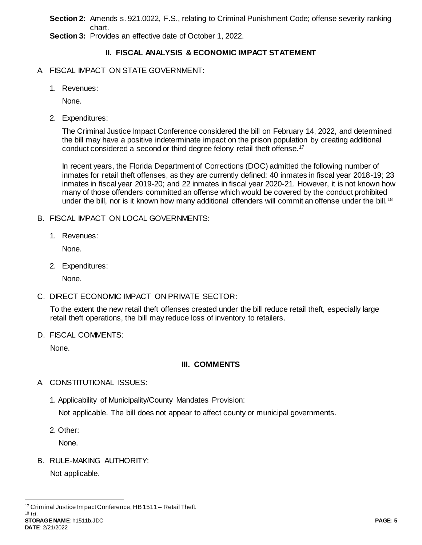**Section 2:** Amends s. 921.0022, F.S., relating to Criminal Punishment Code; offense severity ranking chart.

**Section 3:** Provides an effective date of October 1, 2022.

# **II. FISCAL ANALYSIS & ECONOMIC IMPACT STATEMENT**

# A. FISCAL IMPACT ON STATE GOVERNMENT:

1. Revenues:

None.

2. Expenditures:

The Criminal Justice Impact Conference considered the bill on February 14, 2022, and determined the bill may have a positive indeterminate impact on the prison population by creating additional conduct considered a second or third degree felony retail theft offense.<sup>17</sup>

In recent years, the Florida Department of Corrections (DOC) admitted the following number of inmates for retail theft offenses, as they are currently defined: 40 inmates in fiscal year 2018-19; 23 inmates in fiscal year 2019-20; and 22 inmates in fiscal year 2020-21. However, it is not known how many of those offenders committed an offense which would be covered by the conduct prohibited under the bill, nor is it known how many additional offenders will commit an offense under the bill.<sup>18</sup>

- B. FISCAL IMPACT ON LOCAL GOVERNMENTS:
	- 1. Revenues:

None.

2. Expenditures:

None.

# C. DIRECT ECONOMIC IMPACT ON PRIVATE SECTOR:

To the extent the new retail theft offenses created under the bill reduce retail theft, especially large retail theft operations, the bill may reduce loss of inventory to retailers.

D. FISCAL COMMENTS:

None.

# **III. COMMENTS**

- A. CONSTITUTIONAL ISSUES:
	- 1. Applicability of Municipality/County Mandates Provision: Not applicable. The bill does not appear to affect county or municipal governments.
	- 2. Other:

None.

B. RULE-MAKING AUTHORITY:

Not applicable.

**STORAGE NAME**: h1511b.JDC **PAGE: 5 DATE**: 2/21/2022

 $\overline{a}$ <sup>17</sup> Criminal Justice Impact Conference, HB 1511 – Retail Theft. <sup>18</sup> *Id*.